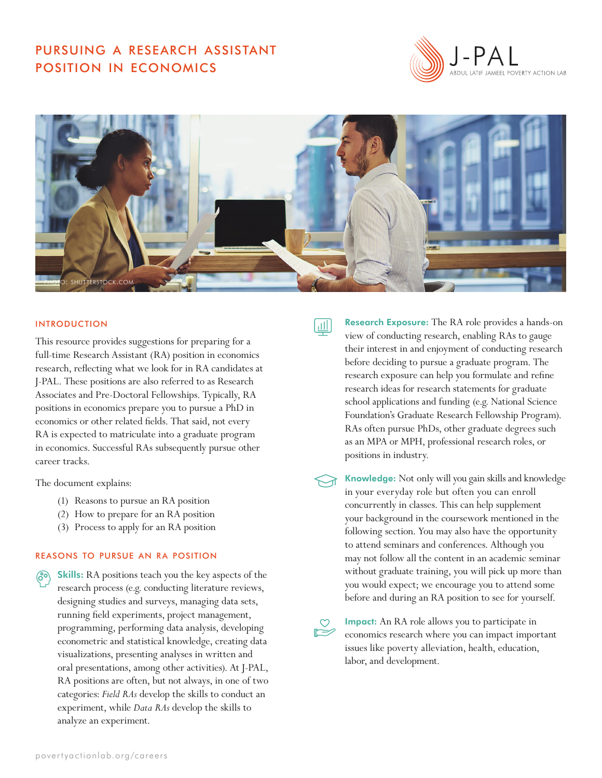# pursuing a research assistant position in economics





## **INTRODUCTION**

This resource provides suggestions for preparing for a full-time Research Assistant (RA) position in economics research, reflecting what we look for in RA candidates at J-PAL. These positions are also referred to as Research Associates and Pre-Doctoral Fellowships. Typically, RA positions in economics prepare you to pursue a PhD in economics or other related fields. That said, not every RA is expected to matriculate into a graduate program in economics. Successful RAs subsequently pursue other career tracks.

The document explains:

- (1) Reasons to pursue an RA position
- (2) How to prepare for an RA position
- (3) Process to apply for an RA position

## reasons to pursue an ra position

**Skills:** RA positions teach you the key aspects of the research process (e.g. conducting literature reviews, designing studies and surveys, managing data sets, running field experiments, project management, programming, performing data analysis, developing econometric and statistical knowledge, creating data visualizations, presenting analyses in written and oral presentations, among other activities). At J-PAL, RA positions are often, but not always, in one of two categories: *Field RAs* develop the skills to conduct an experiment, while *Data RAs* develop the skills to analyze an experiment.

пII

Research Exposure: The RA role provides a hands-on view of conducting research, enabling RAs to gauge their interest in and enjoyment of conducting research before deciding to pursue a graduate program. The research exposure can help you formulate and refine research ideas for research statements for graduate school applications and funding (e.g. National Science Foundation's Graduate Research Fellowship Program). RAs often pursue PhDs, other graduate degrees such as an MPA or MPH, professional research roles, or positions in industry.

Knowledge: Not only will you gain skills and knowledge in your everyday role but often you can enroll concurrently in classes. This can help supplement your background in the coursework mentioned in the following section. You may also have the opportunity to attend seminars and conferences. Although you may not follow all the content in an academic seminar without graduate training, you will pick up more than you would expect; we encourage you to attend some before and during an RA position to see for yourself.

Impact: An RA role allows you to participate in economics research where you can impact important issues like poverty alleviation, health, education, labor, and development.